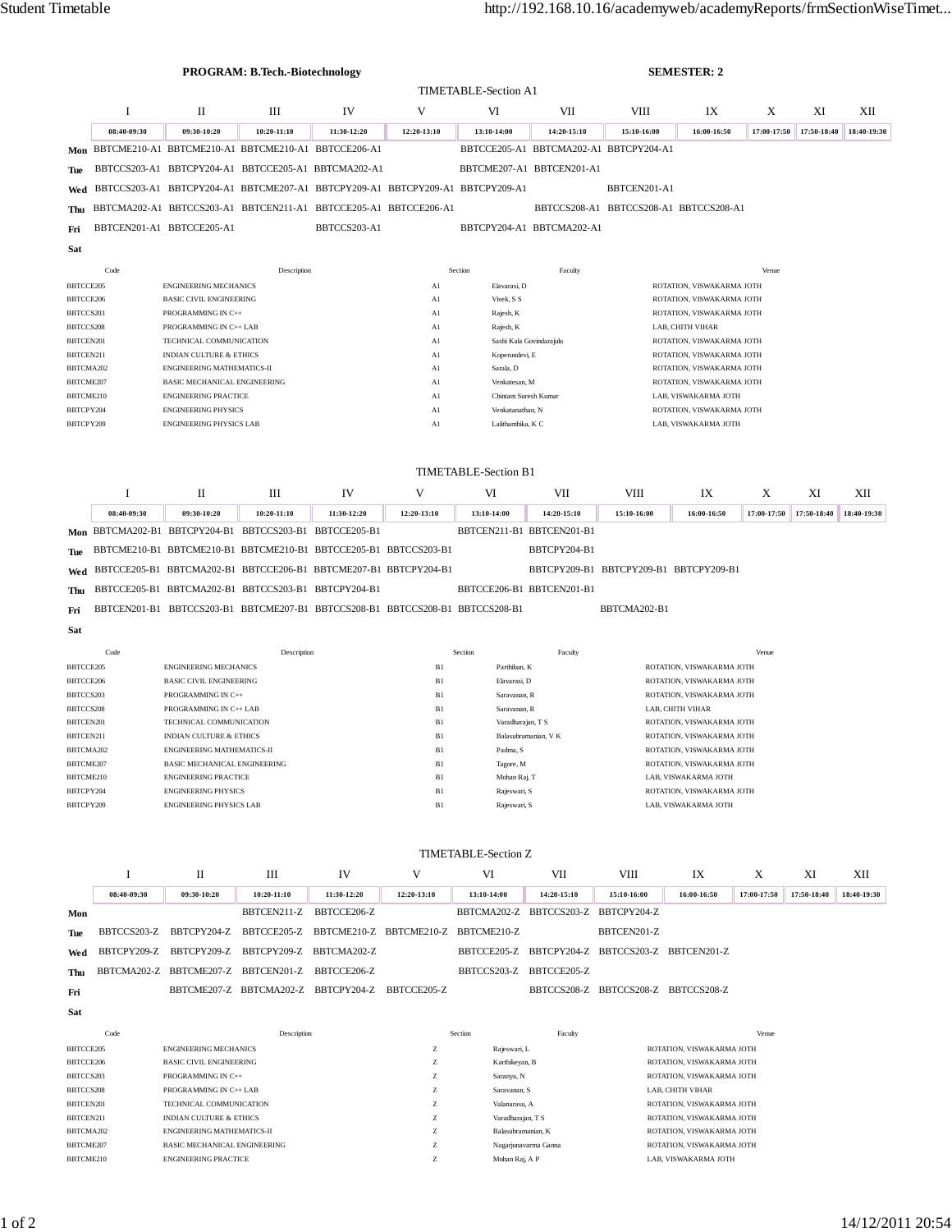| <b>PROGRAM: B.Tech.-Biotechnology</b> |             |                                                                               |                                     |                                     |                                                                                                                |                                                                             | <b>SEMESTER: 2</b>                              |                                                        |                                                        |             |             |             |  |
|---------------------------------------|-------------|-------------------------------------------------------------------------------|-------------------------------------|-------------------------------------|----------------------------------------------------------------------------------------------------------------|-----------------------------------------------------------------------------|-------------------------------------------------|--------------------------------------------------------|--------------------------------------------------------|-------------|-------------|-------------|--|
|                                       |             |                                                                               |                                     |                                     |                                                                                                                | <b>TIMETABLE-Section A1</b>                                                 |                                                 |                                                        |                                                        |             |             |             |  |
|                                       | I           | П                                                                             | Ш                                   | IV                                  | V                                                                                                              | VI                                                                          | VII                                             | VIII                                                   | IX                                                     | Χ           | XI          | XII         |  |
|                                       | 08:40-09:30 | 09:30-10:20                                                                   | 10:20-11:10                         | 11:30-12:20                         | 12:20-13:10                                                                                                    | 13:10-14:00                                                                 | 14:20-15:10                                     | 15:10-16:00                                            | 16:00-16:50                                            | 17:00-17:50 | 17:50-18:40 | 18:40-19:30 |  |
| Mon                                   |             | BBTCME210-A1 BBTCME210-A1 BBTCME210-A1 BBTCCE206-A1                           |                                     |                                     |                                                                                                                |                                                                             | BBTCCE205-A1 BBTCMA202-A1 BBTCPY204-A1          |                                                        |                                                        |             |             |             |  |
| Tue                                   |             | BBTCCS203-A1 BBTCPY204-A1 BBTCCE205-A1 BBTCMA202-A1                           |                                     |                                     |                                                                                                                |                                                                             | BBTCME207-A1 BBTCEN201-A1                       |                                                        |                                                        |             |             |             |  |
| Wed                                   |             | BBTCCS203-A1 BBTCPY204-A1 BBTCME207-A1 BBTCPY209-A1 BBTCPY209-A1 BBTCPY209-A1 |                                     |                                     |                                                                                                                |                                                                             |                                                 | BBTCEN201-A1                                           |                                                        |             |             |             |  |
| Thu                                   |             | BBTCMA202-A1 BBTCCS203-A1 BBTCEN211-A1 BBTCCE205-A1 BBTCCE206-A1              |                                     |                                     |                                                                                                                |                                                                             |                                                 |                                                        | BBTCCS208-A1 BBTCCS208-A1 BBTCCS208-A1                 |             |             |             |  |
| Fri                                   |             | BBTCEN201-A1 BBTCCE205-A1                                                     |                                     | BBTCCS203-A1                        |                                                                                                                |                                                                             | BBTCPY204-A1 BBTCMA202-A1                       |                                                        |                                                        |             |             |             |  |
| <b>Sat</b>                            |             |                                                                               |                                     |                                     |                                                                                                                |                                                                             |                                                 |                                                        |                                                        |             |             |             |  |
| Code                                  |             | Description                                                                   |                                     |                                     |                                                                                                                | Section<br>Faculty                                                          |                                                 |                                                        |                                                        | Venue       |             |             |  |
| BBTCCE205<br>BBTCCE206                |             | <b>ENGINEERING MECHANICS</b><br><b>BASIC CIVIL ENGINEERING</b>                |                                     |                                     | A1                                                                                                             | Elavarasi, D<br>Vivek, S S<br>A1                                            |                                                 |                                                        | ROTATION, VISWAKARMA JOTH<br>ROTATION, VISWAKARMA JOTH |             |             |             |  |
| BBTCCS203                             |             | PROGRAMMING IN C++                                                            |                                     |                                     | A1                                                                                                             | Rajesh, K                                                                   |                                                 |                                                        | ROTATION, VISWAKARMA JOTH                              |             |             |             |  |
| BBTCCS208                             |             | PROGRAMMING IN C++ LAB                                                        |                                     |                                     | Al                                                                                                             | Rajesh, K                                                                   |                                                 | LAB, CHITH VIHAR                                       |                                                        |             |             |             |  |
| BBTCEN201<br>BBTCEN211                |             | TECHNICAL COMMUNICATION<br><b>INDIAN CULTURE &amp; ETHICS</b>                 |                                     |                                     | Al                                                                                                             | Sashi Kala Govindarajulu<br>A1<br>Koperundevi, E                            |                                                 |                                                        | ROTATION, VISWAKARMA JOTH<br>ROTATION, VISWAKARMA JOTH |             |             |             |  |
| BBTCMA202                             |             | ENGINEERING MATHEMATICS-II                                                    |                                     |                                     | A1                                                                                                             | Sarala, D                                                                   |                                                 | ROTATION, VISWAKARMA JOTH                              |                                                        |             |             |             |  |
| BBTCME207                             |             | BASIC MECHANICAL ENGINEERING                                                  |                                     |                                     | A1                                                                                                             | Venkatesan, M                                                               |                                                 | ROTATION, VISWAKARMA JOTH                              |                                                        |             |             |             |  |
| BBTCME210<br>BBTCPY204                |             | <b>ENGINEERING PRACTICE</b><br><b>ENGINEERING PHYSICS</b>                     |                                     |                                     | Al<br>Al                                                                                                       | Chintam Suresh Kumar<br>Venkatanathan, N                                    |                                                 | LAB, VISWAKARMA JOTH<br>ROTATION, VISWAKARMA JOTH      |                                                        |             |             |             |  |
| BBTCPY209                             |             | <b>ENGINEERING PHYSICS LAB</b>                                                |                                     |                                     | A1                                                                                                             | Lalithambika, K C                                                           |                                                 | LAB, VISWAKARMA JOTH                                   |                                                        |             |             |             |  |
|                                       |             |                                                                               |                                     |                                     |                                                                                                                |                                                                             |                                                 |                                                        |                                                        |             |             |             |  |
| TIMETABLE-Section B1                  |             |                                                                               |                                     |                                     |                                                                                                                |                                                                             |                                                 |                                                        |                                                        |             |             |             |  |
|                                       | I           | $\mathbf{I}$                                                                  | Ш                                   | IV                                  | V                                                                                                              | VI                                                                          | VII                                             | VIII                                                   | IX                                                     | X           | XI          | XII         |  |
|                                       | 08:40-09:30 | 09:30-10:20                                                                   | 10:20-11:10                         | 11:30-12:20                         | 12:20-13:10                                                                                                    | 13:10-14:00                                                                 | 14:20-15:10                                     | 15:10-16:00                                            | 16:00-16:50                                            | 17:00-17:50 | 17:50-18:40 | 18:40-19:30 |  |
| Mon                                   |             | BBTCMA202-B1 BBTCPY204-B1 BBTCCS203-B1 BBTCCE205-B1                           |                                     |                                     |                                                                                                                | BBTCEN211-B1 BBTCEN201-B1                                                   |                                                 |                                                        |                                                        |             |             |             |  |
| Tue                                   |             | BBTCME210-B1 BBTCME210-B1 BBTCME210-B1 BBTCCE205-B1 BBTCCS203-B1              |                                     |                                     |                                                                                                                |                                                                             | BBTCPY204-B1                                    |                                                        |                                                        |             |             |             |  |
| Wed                                   |             | BBTCCE205-B1 BBTCMA202-B1 BBTCCE206-B1 BBTCME207-B1 BBTCPY204-B1              |                                     |                                     |                                                                                                                |                                                                             | BBTCPY209-B1 BBTCPY209-B1 BBTCPY209-B1          |                                                        |                                                        |             |             |             |  |
| Thu                                   |             | BBTCCE205-B1 BBTCMA202-B1 BBTCCS203-B1 BBTCPY204-B1                           |                                     |                                     |                                                                                                                | BBTCCE206-B1 BBTCEN201-B1                                                   |                                                 |                                                        |                                                        |             |             |             |  |
| Fri                                   |             | BBTCEN201-B1 BBTCCS203-B1 BBTCME207-B1 BBTCCS208-B1 BBTCCS208-B1 BBTCCS208-B1 |                                     |                                     |                                                                                                                |                                                                             |                                                 | BBTCMA202-B1                                           |                                                        |             |             |             |  |
| Sat                                   |             |                                                                               |                                     |                                     |                                                                                                                |                                                                             |                                                 |                                                        |                                                        |             |             |             |  |
| Code                                  |             | Description                                                                   |                                     |                                     |                                                                                                                | Section<br>Venue<br>Faculty                                                 |                                                 |                                                        |                                                        |             |             |             |  |
| BBTCCE205                             |             | <b>ENGINEERING MECHANICS</b>                                                  |                                     |                                     | B1                                                                                                             | Parthiban, K                                                                |                                                 | ROTATION, VISWAKARMA JOTH                              |                                                        |             |             |             |  |
| BBTCCE206<br>BBTCCS203                |             | <b>BASIC CIVIL ENGINEERING</b><br>PROGRAMMING IN C++                          |                                     |                                     | B1<br>B1                                                                                                       | Elavarasi, D<br>Saravanan, R                                                |                                                 | ROTATION, VISWAKARMA JOTH<br>ROTATION, VISWAKARMA JOTH |                                                        |             |             |             |  |
| BBTCCS208                             |             | PROGRAMMING IN C++ LAB                                                        |                                     |                                     | B1                                                                                                             | Saravanan, R                                                                |                                                 | LAB, CHITH VIHAR                                       |                                                        |             |             |             |  |
| BBTCEN201                             |             | TECHNICAL COMMUNICATION                                                       |                                     |                                     | B1                                                                                                             | Varadharajan, T S                                                           |                                                 | ROTATION, VISWAKARMA JOTH                              |                                                        |             |             |             |  |
| BBTCEN211<br>BBTCMA202                |             | <b>INDIAN CULTURE &amp; ETHICS</b><br><b>ENGINEERING MATHEMATICS-II</b>       |                                     |                                     | B1<br>B1                                                                                                       | Padma, S                                                                    | Balasubramanian, V K                            |                                                        | ROTATION, VISWAKARMA JOTH<br>ROTATION, VISWAKARMA JOTH |             |             |             |  |
| BBTCME207                             |             | BASIC MECHANICAL ENGINEERING                                                  |                                     |                                     | B1                                                                                                             | Tagore, M                                                                   |                                                 |                                                        | ROTATION, VISWAKARMA JOTH                              |             |             |             |  |
| BBTCME210                             |             | <b>ENGINEERING PRACTICE</b><br><b>ENGINEERING PHYSICS</b>                     |                                     |                                     | B1                                                                                                             | Mohan Raj, T                                                                |                                                 | LAB, VISWAKARMA JOTH<br>ROTATION, VISWAKARMA JOTH      |                                                        |             |             |             |  |
| BBTCPY204<br>BBTCPY209                |             | <b>ENGINEERING PHYSICS LAB</b>                                                |                                     |                                     | B1<br>B1                                                                                                       | Rajeswari, S<br>Rajeswari, S                                                |                                                 | LAB, VISWAKARMA JOTH                                   |                                                        |             |             |             |  |
|                                       |             |                                                                               |                                     |                                     |                                                                                                                |                                                                             |                                                 |                                                        |                                                        |             |             |             |  |
| TIMETABLE-Section Z                   |             |                                                                               |                                     |                                     |                                                                                                                |                                                                             |                                                 |                                                        |                                                        |             |             |             |  |
|                                       | I           | П                                                                             | Ш                                   | IV                                  | V                                                                                                              | VI                                                                          | VII                                             | VIII                                                   | IX                                                     | X           | XI          | XII         |  |
|                                       | 08:40-09:30 | 09:30-10:20                                                                   | 10:20-11:10                         | 11:30-12:20                         | 12:20-13:10                                                                                                    | 13:10-14:00                                                                 | 14:20-15:10                                     | 15:10-16:00                                            | 16:00-16:50                                            | 17:00-17:50 | 17:50-18:40 | 18:40-19:30 |  |
| Mon                                   |             |                                                                               | BBTCEN211-Z                         | BBTCCE206-Z                         |                                                                                                                |                                                                             | BBTCMA202-Z BBTCCS203-Z BBTCPY204-Z             |                                                        |                                                        |             |             |             |  |
| Tue                                   | BBTCCS203-Z | BBTCPY204-Z                                                                   | BBTCCE205-Z                         | BBTCME210-Z BBTCME210-Z BBTCME210-Z |                                                                                                                |                                                                             |                                                 | BBTCEN201-Z                                            |                                                        |             |             |             |  |
| Wed                                   | BBTCPY209-Z | BBTCPY209-Z                                                                   | BBTCPY209-Z                         | BBTCMA202-Z                         |                                                                                                                |                                                                             | BBTCCE205-Z BBTCPY204-Z BBTCCS203-Z BBTCEN201-Z |                                                        |                                                        |             |             |             |  |
| Thu                                   | BBTCMA202-Z | BBTCME207-Z BBTCEN201-Z                                                       |                                     | BBTCCE206-Z                         |                                                                                                                | BBTCCS203-Z                                                                 | BBTCCE205-Z                                     |                                                        |                                                        |             |             |             |  |
| Fri                                   |             |                                                                               | BBTCME207-Z BBTCMA202-Z BBTCPY204-Z |                                     | BBTCCE205-Z                                                                                                    |                                                                             | BBTCCS208-Z BBTCCS208-Z BBTCCS208-Z             |                                                        |                                                        |             |             |             |  |
| Sat                                   |             |                                                                               |                                     |                                     |                                                                                                                |                                                                             |                                                 |                                                        |                                                        |             |             |             |  |
|                                       | Code        | Description                                                                   |                                     |                                     |                                                                                                                | Section<br>Faculty                                                          |                                                 |                                                        | Venue                                                  |             |             |             |  |
| BBTCCE205                             |             | <b>ENGINEERING MECHANICS</b>                                                  |                                     |                                     | $\mathbf{Z}% ^{T}=\mathbf{Z}^{T}\times\mathbf{Z}^{T}$                                                          | Rajeswari, L                                                                |                                                 |                                                        | ROTATION, VISWAKARMA JOTH                              |             |             |             |  |
| BBTCCE206                             |             | <b>BASIC CIVIL ENGINEERING</b>                                                |                                     |                                     | $\mathbf{Z}% ^{T}=\mathbf{Z}^{T}\times\mathbf{Z}^{T}$                                                          | ROTATION, VISWAKARMA JOTH<br>Karthikeyan, B                                 |                                                 |                                                        |                                                        |             |             |             |  |
| BBTCCS203<br>BBTCCS208                |             | PROGRAMMING IN C++<br>PROGRAMMING IN C++ LAB                                  |                                     |                                     | $\mathbf{Z}% ^{T}=\mathbf{Z}^{T}\times\mathbf{Z}^{T}$<br>Z                                                     | ROTATION, VISWAKARMA JOTH<br>Saranya, N<br>Saravanan, S<br>LAB, CHITH VIHAR |                                                 |                                                        |                                                        |             |             |             |  |
| BBTCEN201                             |             | TECHNICAL COMMUNICATION                                                       |                                     |                                     | Z                                                                                                              | Valanarasu, A                                                               |                                                 | ROTATION, VISWAKARMA JOTH                              |                                                        |             |             |             |  |
| BBTCEN211                             |             | <b>INDIAN CULTURE &amp; ETHICS</b>                                            |                                     |                                     | $\mathbf{Z}% ^{T}=\mathbf{Z}^{T}\times\mathbf{Z}^{T}$                                                          | Varadharajan, T S                                                           | ROTATION, VISWAKARMA JOTH                       |                                                        |                                                        |             |             |             |  |
| BBTCMA202                             |             | ENGINEERING MATHEMATICS-II                                                    |                                     |                                     | $\mathbf{Z}% ^{T}=\mathbf{Z}^{T}\times\mathbf{Z}^{T}$<br>$\mathbf{Z}% ^{T}=\mathbf{Z}^{T}\times\mathbf{Z}^{T}$ | Balasubramanian, K                                                          |                                                 | ROTATION, VISWAKARMA JOTH<br>ROTATION, VISWAKARMA JOTH |                                                        |             |             |             |  |
| BBTCME207<br>BBTCME210                |             | BASIC MECHANICAL ENGINEERING<br><b>ENGINEERING PRACTICE</b>                   |                                     |                                     | $\mathbf{Z}% ^{T}=\mathbf{Z}^{T}\times\mathbf{Z}^{T}$                                                          | Nagarjunavarma Ganna<br>Mohan Raj, A P<br>LAB, VISWAKARMA JOTH              |                                                 |                                                        |                                                        |             |             |             |  |
|                                       |             |                                                                               |                                     |                                     |                                                                                                                |                                                                             |                                                 |                                                        |                                                        |             |             |             |  |